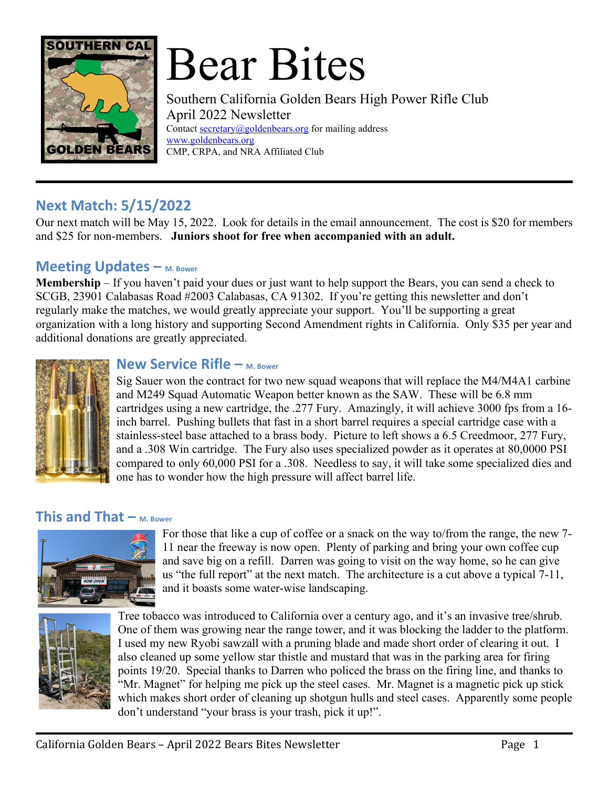

# Bear Bites

Southern California Golden Bears High Power Rifle Club April 2022 Newsletter Contact [secretary@goldenbears.org](mailto:secretary@goldenbears.org) for mailing address [www.goldenbears.org](http://www.goldenbears.org/) CMP, CRPA, and NRA Affiliated Club

# **Next Match: 5/15/2022**

Our next match will be May 15, 2022. Look for details in the email announcement. The cost is \$20 for members and \$25 for non-members. **Juniors shoot for free when accompanied with an adult.**

#### **Meeting Updates – M. Bower**

**Membership** – If you haven't paid your dues or just want to help support the Bears, you can send a check to SCGB, 23901 Calabasas Road #2003 Calabasas, CA 91302. If you're getting this newsletter and don't regularly make the matches, we would greatly appreciate your support. You'll be supporting a great organization with a long history and supporting Second Amendment rights in California. Only \$35 per year and additional donations are greatly appreciated.



#### **New Service Rifle – M. Bower**

Sig Sauer won the contract for two new squad weapons that will replace the M4/M4A1 carbine and M249 Squad Automatic Weapon better known as the SAW. These will be 6.8 mm cartridges using a new cartridge, the .277 Fury. Amazingly, it will achieve 3000 fps from a 16 inch barrel. Pushing bullets that fast in a short barrel requires a special cartridge case with a stainless-steel base attached to a brass body. Picture to left shows a 6.5 Creedmoor, 277 Fury, and a .308 Win cartridge. The Fury also uses specialized powder as it operates at 80,0000 PSI compared to only 60,000 PSI for a .308. Needless to say, it will take some specialized dies and one has to wonder how the high pressure will affect barrel life.

#### **This and That – M. Bower**



For those that like a cup of coffee or a snack on the way to/from the range, the new 7- 11 near the freeway is now open. Plenty of parking and bring your own coffee cup and save big on a refill. Darren was going to visit on the way home, so he can give us "the full report" at the next match. The architecture is a cut above a typical 7-11, and it boasts some water-wise landscaping.



Tree tobacco was introduced to California over a century ago, and it's an invasive tree/shrub. One of them was growing near the range tower, and it was blocking the ladder to the platform. I used my new Ryobi sawzall with a pruning blade and made short order of clearing it out. I also cleaned up some yellow star thistle and mustard that was in the parking area for firing points 19/20. Special thanks to Darren who policed the brass on the firing line, and thanks to "Mr. Magnet" for helping me pick up the steel cases. Mr. Magnet is a magnetic pick up stick which makes short order of cleaning up shotgun hulls and steel cases. Apparently some people don't understand "your brass is your trash, pick it up!".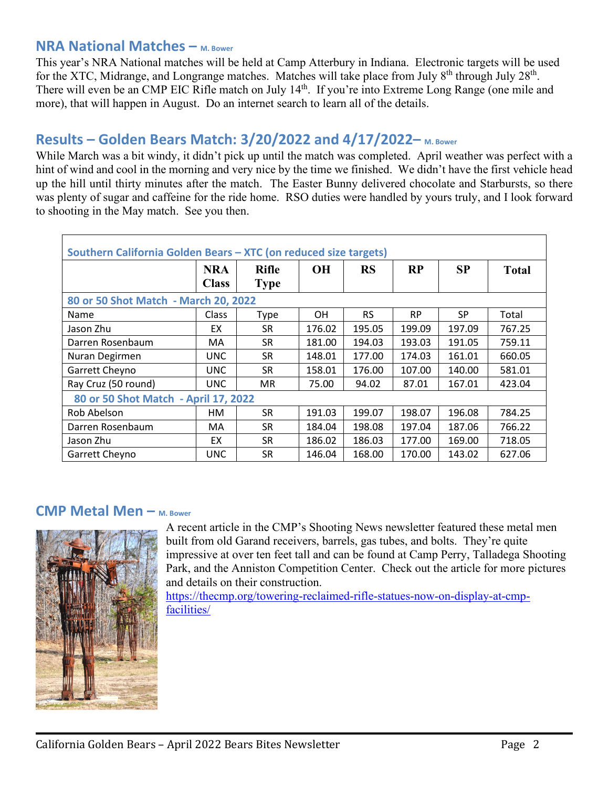#### **NRA National Matches – M. Bower**

This year's NRA National matches will be held at Camp Atterbury in Indiana. Electronic targets will be used for the XTC, Midrange, and Longrange matches. Matches will take place from July 8<sup>th</sup> through July 28<sup>th</sup>. There will even be an CMP EIC Rifle match on July 14<sup>th</sup>. If you're into Extreme Long Range (one mile and more), that will happen in August. Do an internet search to learn all of the details.

# **Results – Golden Bears Match: 3/20/2022 and 4/17/2022– M. Bower**

While March was a bit windy, it didn't pick up until the match was completed. April weather was perfect with a hint of wind and cool in the morning and very nice by the time we finished. We didn't have the first vehicle head up the hill until thirty minutes after the match. The Easter Bunny delivered chocolate and Starbursts, so there was plenty of sugar and caffeine for the ride home. RSO duties were handled by yours truly, and I look forward to shooting in the May match. See you then.

| Southern California Golden Bears - XTC (on reduced size targets) |                            |                             |           |           |           |        |              |
|------------------------------------------------------------------|----------------------------|-----------------------------|-----------|-----------|-----------|--------|--------------|
|                                                                  | <b>NRA</b><br><b>Class</b> | <b>Rifle</b><br><b>Type</b> | <b>OH</b> | <b>RS</b> | RP        | SP     | <b>Total</b> |
| 80 or 50 Shot Match - March 20, 2022                             |                            |                             |           |           |           |        |              |
| Name                                                             | Class                      | <b>Type</b>                 | OН        | <b>RS</b> | <b>RP</b> | SP.    | Total        |
| Jason Zhu                                                        | EX                         | <b>SR</b>                   | 176.02    | 195.05    | 199.09    | 197.09 | 767.25       |
| Darren Rosenbaum                                                 | MA                         | <b>SR</b>                   | 181.00    | 194.03    | 193.03    | 191.05 | 759.11       |
| Nuran Degirmen                                                   | <b>UNC</b>                 | <b>SR</b>                   | 148.01    | 177.00    | 174.03    | 161.01 | 660.05       |
| Garrett Cheyno                                                   | UNC.                       | <b>SR</b>                   | 158.01    | 176.00    | 107.00    | 140.00 | 581.01       |
| Ray Cruz (50 round)                                              | UNC.                       | <b>MR</b>                   | 75.00     | 94.02     | 87.01     | 167.01 | 423.04       |
| 80 or 50 Shot Match - April 17, 2022                             |                            |                             |           |           |           |        |              |
| Rob Abelson                                                      | HМ                         | <b>SR</b>                   | 191.03    | 199.07    | 198.07    | 196.08 | 784.25       |
| Darren Rosenbaum                                                 | MA                         | <b>SR</b>                   | 184.04    | 198.08    | 197.04    | 187.06 | 766.22       |
| Jason Zhu                                                        | EX                         | <b>SR</b>                   | 186.02    | 186.03    | 177.00    | 169.00 | 718.05       |
| Garrett Cheyno                                                   | <b>UNC</b>                 | <b>SR</b>                   | 146.04    | 168.00    | 170.00    | 143.02 | 627.06       |

### **CMP Metal Men – M. Bower**



A recent article in the CMP's Shooting News newsletter featured these metal men built from old Garand receivers, barrels, gas tubes, and bolts. They're quite impressive at over ten feet tall and can be found at Camp Perry, Talladega Shooting Park, and the Anniston Competition Center. Check out the article for more pictures and details on their construction.

[https://thecmp.org/towering-reclaimed-rifle-statues-now-on-display-at-cmp](https://thecmp.org/towering-reclaimed-rifle-statues-now-on-display-at-cmp-facilities/)[facilities/](https://thecmp.org/towering-reclaimed-rifle-statues-now-on-display-at-cmp-facilities/)